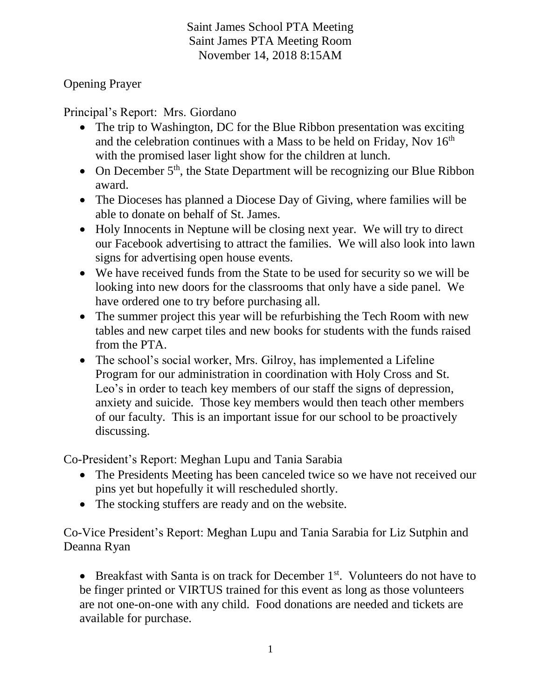Saint James School PTA Meeting Saint James PTA Meeting Room November 14, 2018 8:15AM

Opening Prayer

Principal's Report: Mrs. Giordano

- The trip to Washington, DC for the Blue Ribbon presentation was exciting and the celebration continues with a Mass to be held on Friday, Nov  $16<sup>th</sup>$ with the promised laser light show for the children at lunch.
- On December  $5<sup>th</sup>$ , the State Department will be recognizing our Blue Ribbon award.
- The Dioceses has planned a Diocese Day of Giving, where families will be able to donate on behalf of St. James.
- Holy Innocents in Neptune will be closing next year. We will try to direct our Facebook advertising to attract the families. We will also look into lawn signs for advertising open house events.
- We have received funds from the State to be used for security so we will be looking into new doors for the classrooms that only have a side panel. We have ordered one to try before purchasing all.
- The summer project this year will be refurbishing the Tech Room with new tables and new carpet tiles and new books for students with the funds raised from the PTA.
- The school's social worker, Mrs. Gilroy, has implemented a Lifeline Program for our administration in coordination with Holy Cross and St. Leo's in order to teach key members of our staff the signs of depression, anxiety and suicide. Those key members would then teach other members of our faculty. This is an important issue for our school to be proactively discussing.

Co-President's Report: Meghan Lupu and Tania Sarabia

- The Presidents Meeting has been canceled twice so we have not received our pins yet but hopefully it will rescheduled shortly.
- The stocking stuffers are ready and on the website.

Co-Vice President's Report: Meghan Lupu and Tania Sarabia for Liz Sutphin and Deanna Ryan

**•** Breakfast with Santa is on track for December  $1<sup>st</sup>$ . Volunteers do not have to be finger printed or VIRTUS trained for this event as long as those volunteers are not one-on-one with any child. Food donations are needed and tickets are available for purchase.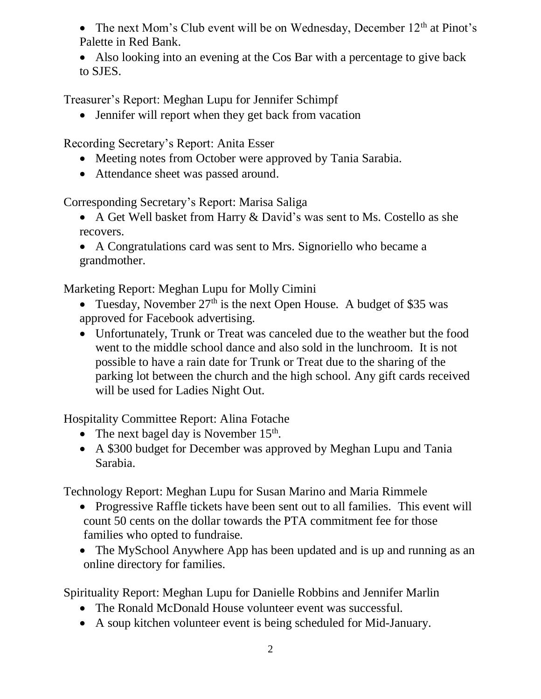• The next Mom's Club event will be on Wednesday, December  $12<sup>th</sup>$  at Pinot's Palette in Red Bank.

• Also looking into an evening at the Cos Bar with a percentage to give back to SJES.

Treasurer's Report: Meghan Lupu for Jennifer Schimpf

• Jennifer will report when they get back from vacation

Recording Secretary's Report: Anita Esser

- Meeting notes from October were approved by Tania Sarabia.
- Attendance sheet was passed around.

Corresponding Secretary's Report: Marisa Saliga

 A Get Well basket from Harry & David's was sent to Ms. Costello as she recovers.

 A Congratulations card was sent to Mrs. Signoriello who became a grandmother.

Marketing Report: Meghan Lupu for Molly Cimini

- Tuesday, November  $27<sup>th</sup>$  is the next Open House. A budget of \$35 was approved for Facebook advertising.
- Unfortunately, Trunk or Treat was canceled due to the weather but the food went to the middle school dance and also sold in the lunchroom. It is not possible to have a rain date for Trunk or Treat due to the sharing of the parking lot between the church and the high school. Any gift cards received will be used for Ladies Night Out.

Hospitality Committee Report: Alina Fotache

- The next bagel day is November  $15<sup>th</sup>$ .
- A \$300 budget for December was approved by Meghan Lupu and Tania Sarabia.

Technology Report: Meghan Lupu for Susan Marino and Maria Rimmele

- Progressive Raffle tickets have been sent out to all families. This event will count 50 cents on the dollar towards the PTA commitment fee for those families who opted to fundraise.
- The MySchool Anywhere App has been updated and is up and running as an online directory for families.

Spirituality Report: Meghan Lupu for Danielle Robbins and Jennifer Marlin

- The Ronald McDonald House volunteer event was successful.
- A soup kitchen volunteer event is being scheduled for Mid-January.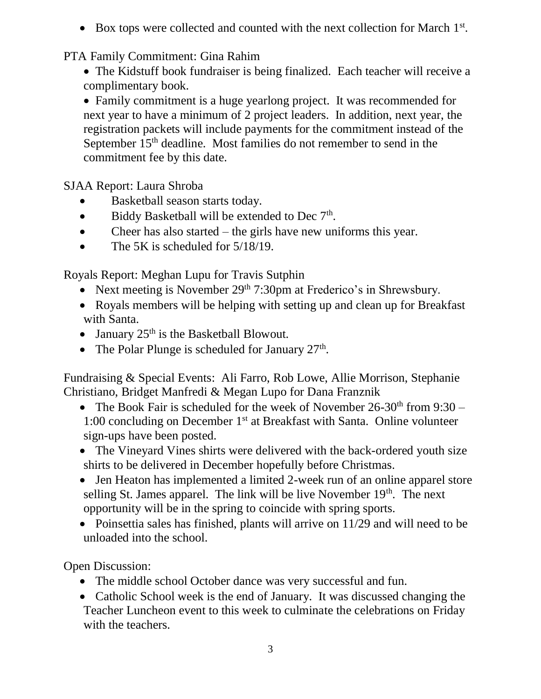$\bullet$  Box tops were collected and counted with the next collection for March  $1<sup>st</sup>$ .

## PTA Family Commitment: Gina Rahim

 The Kidstuff book fundraiser is being finalized. Each teacher will receive a complimentary book.

 Family commitment is a huge yearlong project. It was recommended for next year to have a minimum of 2 project leaders. In addition, next year, the registration packets will include payments for the commitment instead of the September 15<sup>th</sup> deadline. Most families do not remember to send in the commitment fee by this date.

SJAA Report: Laura Shroba

- Basketball season starts today.
- $\bullet$  Biddy Basketball will be extended to Dec  $7<sup>th</sup>$ .
- Cheer has also started the girls have new uniforms this year.
- The 5K is scheduled for  $5/18/19$ .

Royals Report: Meghan Lupu for Travis Sutphin

- Next meeting is November 29<sup>th</sup> 7:30pm at Frederico's in Shrewsbury.
- Royals members will be helping with setting up and clean up for Breakfast with Santa.
- January  $25<sup>th</sup>$  is the Basketball Blowout.
- The Polar Plunge is scheduled for January  $27<sup>th</sup>$ .

Fundraising & Special Events: Ali Farro, Rob Lowe, Allie Morrison, Stephanie Christiano, Bridget Manfredi & Megan Lupo for Dana Franznik

- The Book Fair is scheduled for the week of November  $26-30<sup>th</sup>$  from  $9:30-$ 1:00 concluding on December  $1<sup>st</sup>$  at Breakfast with Santa. Online volunteer sign-ups have been posted.
- The Vineyard Vines shirts were delivered with the back-ordered youth size shirts to be delivered in December hopefully before Christmas.
- Jen Heaton has implemented a limited 2-week run of an online apparel store selling St. James apparel. The link will be live November  $19<sup>th</sup>$ . The next opportunity will be in the spring to coincide with spring sports.
- Poinsettia sales has finished, plants will arrive on 11/29 and will need to be unloaded into the school.

Open Discussion:

- The middle school October dance was very successful and fun.
- Catholic School week is the end of January. It was discussed changing the Teacher Luncheon event to this week to culminate the celebrations on Friday with the teachers.